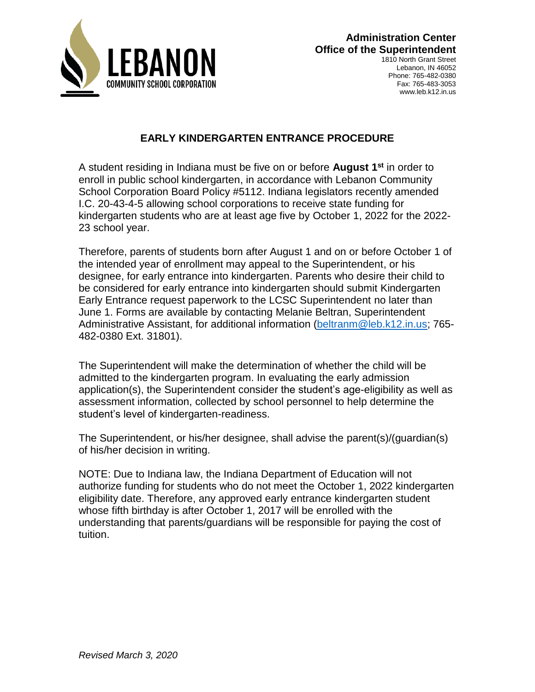

Lebanon, IN 46052 Phone: 765-482-0380 Fax: 765-483-3053 www.leb.k12.in.us

# **EARLY KINDERGARTEN ENTRANCE PROCEDURE**

A student residing in Indiana must be five on or before **August 1st** in order to enroll in public school kindergarten, in accordance with Lebanon Community School Corporation Board Policy #5112. Indiana legislators recently amended I.C. 20-43-4-5 allowing school corporations to receive state funding for kindergarten students who are at least age five by October 1, 2022 for the 2022- 23 school year.

Therefore, parents of students born after August 1 and on or before October 1 of the intended year of enrollment may appeal to the Superintendent, or his designee, for early entrance into kindergarten. Parents who desire their child to be considered for early entrance into kindergarten should submit Kindergarten Early Entrance request paperwork to the LCSC Superintendent no later than June 1. Forms are available by contacting Melanie Beltran, Superintendent Administrative Assistant, for additional information [\(beltranm@leb.k12.in.us;](mailto:beltranm@leb.k12.in.us) 765- 482-0380 Ext. 31801).

The Superintendent will make the determination of whether the child will be admitted to the kindergarten program. In evaluating the early admission application(s), the Superintendent consider the student's age-eligibility as well as assessment information, collected by school personnel to help determine the student's level of kindergarten-readiness.

The Superintendent, or his/her designee, shall advise the parent(s)/(guardian(s) of his/her decision in writing.

NOTE: Due to Indiana law, the Indiana Department of Education will not authorize funding for students who do not meet the October 1, 2022 kindergarten eligibility date. Therefore, any approved early entrance kindergarten student whose fifth birthday is after October 1, 2017 will be enrolled with the understanding that parents/guardians will be responsible for paying the cost of tuition.